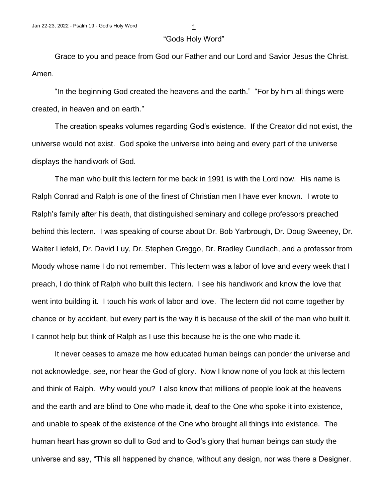## "Gods Holy Word"

Grace to you and peace from God our Father and our Lord and Savior Jesus the Christ. Amen.

"In the beginning God created the heavens and the earth." "For by him all things were created, in heaven and on earth."

The creation speaks volumes regarding God's existence. If the Creator did not exist, the universe would not exist. God spoke the universe into being and every part of the universe displays the handiwork of God.

The man who built this lectern for me back in 1991 is with the Lord now. His name is Ralph Conrad and Ralph is one of the finest of Christian men I have ever known. I wrote to Ralph's family after his death, that distinguished seminary and college professors preached behind this lectern. I was speaking of course about Dr. Bob Yarbrough, Dr. Doug Sweeney, Dr. Walter Liefeld, Dr. David Luy, Dr. Stephen Greggo, Dr. Bradley Gundlach, and a professor from Moody whose name I do not remember. This lectern was a labor of love and every week that I preach, I do think of Ralph who built this lectern. I see his handiwork and know the love that went into building it. I touch his work of labor and love. The lectern did not come together by chance or by accident, but every part is the way it is because of the skill of the man who built it. I cannot help but think of Ralph as I use this because he is the one who made it.

It never ceases to amaze me how educated human beings can ponder the universe and not acknowledge, see, nor hear the God of glory. Now I know none of you look at this lectern and think of Ralph. Why would you? I also know that millions of people look at the heavens and the earth and are blind to One who made it, deaf to the One who spoke it into existence, and unable to speak of the existence of the One who brought all things into existence. The human heart has grown so dull to God and to God's glory that human beings can study the universe and say, "This all happened by chance, without any design, nor was there a Designer.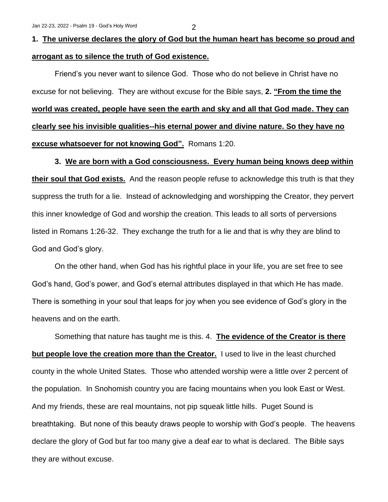## **1. The universe declares the glory of God but the human heart has become so proud and arrogant as to silence the truth of God existence.**

Friend's you never want to silence God. Those who do not believe in Christ have no excuse for not believing. They are without excuse for the Bible says, **2. "From the time the world was created, people have seen the earth and sky and all that God made. They can clearly see his invisible qualities--his eternal power and divine nature. So they have no excuse whatsoever for not knowing God".** Romans 1:20.

## **3. We are born with a God consciousness. Every human being knows deep within**

**their soul that God exists.** And the reason people refuse to acknowledge this truth is that they suppress the truth for a lie. Instead of acknowledging and worshipping the Creator, they pervert this inner knowledge of God and worship the creation. This leads to all sorts of perversions listed in Romans 1:26-32. They exchange the truth for a lie and that is why they are blind to God and God's glory.

On the other hand, when God has his rightful place in your life, you are set free to see God's hand, God's power, and God's eternal attributes displayed in that which He has made. There is something in your soul that leaps for joy when you see evidence of God's glory in the heavens and on the earth.

Something that nature has taught me is this. 4. **The evidence of the Creator is there but people love the creation more than the Creator.** I used to live in the least churched county in the whole United States. Those who attended worship were a little over 2 percent of the population. In Snohomish country you are facing mountains when you look East or West. And my friends, these are real mountains, not pip squeak little hills. Puget Sound is breathtaking. But none of this beauty draws people to worship with God's people. The heavens declare the glory of God but far too many give a deaf ear to what is declared. The Bible says they are without excuse.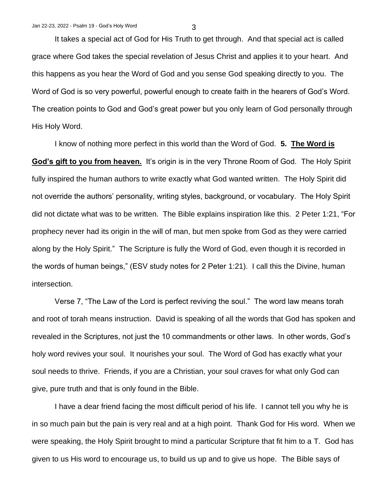It takes a special act of God for His Truth to get through. And that special act is called grace where God takes the special revelation of Jesus Christ and applies it to your heart. And this happens as you hear the Word of God and you sense God speaking directly to you. The Word of God is so very powerful, powerful enough to create faith in the hearers of God's Word. The creation points to God and God's great power but you only learn of God personally through His Holy Word.

I know of nothing more perfect in this world than the Word of God. **5. The Word is God's gift to you from heaven.** It's origin is in the very Throne Room of God. The Holy Spirit fully inspired the human authors to write exactly what God wanted written. The Holy Spirit did not override the authors' personality, writing styles, background, or vocabulary. The Holy Spirit did not dictate what was to be written. The Bible explains inspiration like this. 2 Peter 1:21, "For prophecy never had its origin in the will of man, but men spoke from God as they were carried along by the Holy Spirit." The Scripture is fully the Word of God, even though it is recorded in the words of human beings," (ESV study notes for 2 Peter 1:21). I call this the Divine, human intersection.

Verse 7, "The Law of the Lord is perfect reviving the soul." The word law means torah and root of torah means instruction. David is speaking of all the words that God has spoken and revealed in the Scriptures, not just the 10 commandments or other laws. In other words, God's holy word revives your soul. It nourishes your soul. The Word of God has exactly what your soul needs to thrive. Friends, if you are a Christian, your soul craves for what only God can give, pure truth and that is only found in the Bible.

I have a dear friend facing the most difficult period of his life. I cannot tell you why he is in so much pain but the pain is very real and at a high point. Thank God for His word. When we were speaking, the Holy Spirit brought to mind a particular Scripture that fit him to a T. God has given to us His word to encourage us, to build us up and to give us hope. The Bible says of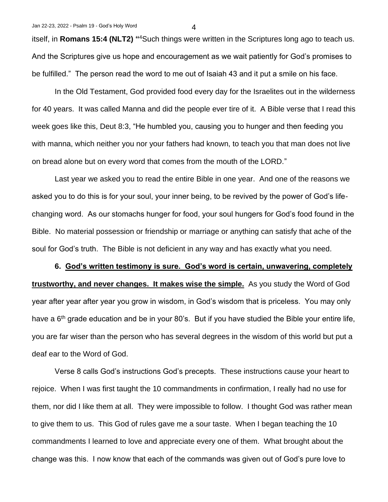itself, in **Romans 15:4 (NLT2) "** <sup>4</sup>Such things were written in the Scriptures long ago to teach us. And the Scriptures give us hope and encouragement as we wait patiently for God's promises to be fulfilled." The person read the word to me out of Isaiah 43 and it put a smile on his face.

In the Old Testament, God provided food every day for the Israelites out in the wilderness for 40 years. It was called Manna and did the people ever tire of it. A Bible verse that I read this week goes like this, Deut 8:3, "He humbled you, causing you to hunger and then feeding you with manna, which neither you nor your fathers had known, to teach you that man does not live on bread alone but on every word that comes from the mouth of the LORD."

Last year we asked you to read the entire Bible in one year. And one of the reasons we asked you to do this is for your soul, your inner being, to be revived by the power of God's lifechanging word. As our stomachs hunger for food, your soul hungers for God's food found in the Bible. No material possession or friendship or marriage or anything can satisfy that ache of the soul for God's truth. The Bible is not deficient in any way and has exactly what you need.

**6. God's written testimony is sure. God's word is certain, unwavering, completely trustworthy, and never changes. It makes wise the simple.** As you study the Word of God year after year after year you grow in wisdom, in God's wisdom that is priceless. You may only have a  $6<sup>th</sup>$  grade education and be in your 80's. But if you have studied the Bible your entire life, you are far wiser than the person who has several degrees in the wisdom of this world but put a deaf ear to the Word of God.

Verse 8 calls God's instructions God's precepts. These instructions cause your heart to rejoice. When I was first taught the 10 commandments in confirmation, I really had no use for them, nor did I like them at all. They were impossible to follow. I thought God was rather mean to give them to us. This God of rules gave me a sour taste. When I began teaching the 10 commandments I learned to love and appreciate every one of them. What brought about the change was this. I now know that each of the commands was given out of God's pure love to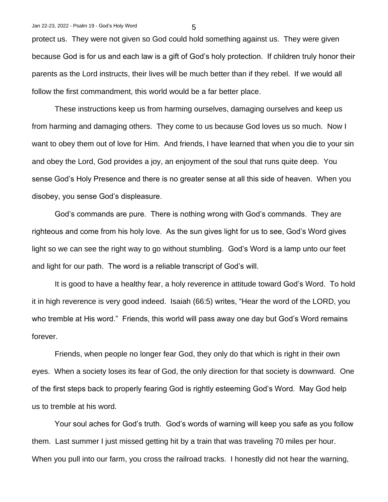protect us. They were not given so God could hold something against us. They were given because God is for us and each law is a gift of God's holy protection. If children truly honor their parents as the Lord instructs, their lives will be much better than if they rebel. If we would all follow the first commandment, this world would be a far better place.

These instructions keep us from harming ourselves, damaging ourselves and keep us from harming and damaging others. They come to us because God loves us so much. Now I want to obey them out of love for Him. And friends, I have learned that when you die to your sin and obey the Lord, God provides a joy, an enjoyment of the soul that runs quite deep. You sense God's Holy Presence and there is no greater sense at all this side of heaven. When you disobey, you sense God's displeasure.

God's commands are pure. There is nothing wrong with God's commands. They are righteous and come from his holy love. As the sun gives light for us to see, God's Word gives light so we can see the right way to go without stumbling. God's Word is a lamp unto our feet and light for our path. The word is a reliable transcript of God's will.

It is good to have a healthy fear, a holy reverence in attitude toward God's Word. To hold it in high reverence is very good indeed. Isaiah (66:5) writes, "Hear the word of the LORD, you who tremble at His word." Friends, this world will pass away one day but God's Word remains forever.

Friends, when people no longer fear God, they only do that which is right in their own eyes. When a society loses its fear of God, the only direction for that society is downward. One of the first steps back to properly fearing God is rightly esteeming God's Word. May God help us to tremble at his word.

Your soul aches for God's truth. God's words of warning will keep you safe as you follow them. Last summer I just missed getting hit by a train that was traveling 70 miles per hour. When you pull into our farm, you cross the railroad tracks. I honestly did not hear the warning,